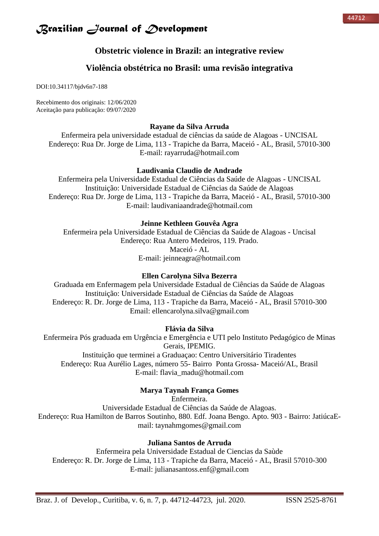### **Obstetric violence in Brazil: an integrative review**

### **Violência obstétrica no Brasil: uma revisão integrativa**

DOI:10.34117/bjdv6n7-188

Recebimento dos originais: 12/06/2020 Aceitação para publicação: 09/07/2020

### **Rayane da Silva Arruda**

Enfermeira pela universidade estadual de ciências da saúde de Alagoas - UNCISAL Endereço: Rua Dr. Jorge de Lima, 113 - Trapiche da Barra, Maceió - AL, Brasil, 57010-300 E-mail: rayarruda@hotmail.com

### **Laudivania Claudio de Andrade**

Enfermeira pela Universidade Estadual de Ciências da Saúde de Alagoas - UNCISAL Instituição: Universidade Estadual de Ciências da Saúde de Alagoas Endereço: Rua Dr. Jorge de Lima, 113 - Trapiche da Barra, Maceió - AL, Brasil, 57010-300 E-mail: [laudivaniaandrade@hotmail.com](mailto:laudivaniaandrade@hotmail.com)

### **Jeinne Kethleen Gouvêa Agra**

Enfermeira pela Universidade Estadual de Ciências da Saúde de Alagoas - Uncisal Endereço: Rua Antero Medeiros, 119. Prado. Maceió - AL E-mail: jeinneagra@hotmail.com

### **Ellen Carolyna Silva Bezerra**

Graduada em Enfermagem pela Universidade Estadual de Ciências da Saúde de Alagoas Instituição: Universidade Estadual de Ciências da Saúde de Alagoas Endereço: R. Dr. Jorge de Lima, 113 - Trapiche da Barra, Maceió - AL, Brasil 57010-300 Email: ellencarolyna.silva@gmail.com

### **Flávia da Silva**

Enfermeira Pós graduada em Urgência e Emergência e UTI pelo Instituto Pedagógico de Minas Gerais, IPEMIG. Instituição que terminei a Graduaçao: Centro Universitário Tiradentes Endereço: Rua Aurélio Lages, número 55- Bairro Ponta Grossa- Maceió/AL, Brasil

E-mail: flavia\_madu@hotmail.com

### **Marya Taynah França Gomes**

Enfermeira.

Universidade Estadual de Ciências da Saúde de Alagoas. Endereço: Rua Hamilton de Barros Soutinho, 880. Edf. Joana Bengo. Apto. 903 - Bairro: JatiúcaEmail: taynahmgomes@gmail.com

### **Juliana Santos de Arruda**

Enfermeira pela Universidade Estadual de Ciencias da Saùde Endereço: R. Dr. Jorge de Lima, 113 - Trapiche da Barra, Maceió - AL, Brasil 57010-300 E-mail: julianasantoss.enf@gmail.com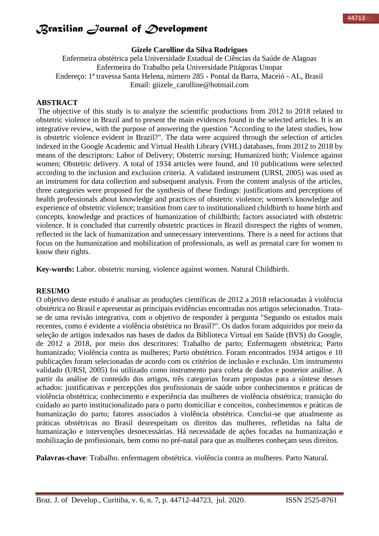#### **Gizele Carolline da Silva Rodrigues**

Enfermeira obstétrica pela Universidade Estadual de Ciências da Saúde de Alagoas Enfermeira do Trabalho pela Universidade Pitágoras Unopar Endereço: 1ª travessa Santa Helena, número 285 - Pontal da Barra, Maceió - AL, Brasil Email: giizele\_carolline@hotmail.com

### **ABSTRACT**

The objective of this study is to analyze the scientific productions from 2012 to 2018 related to obstetric violence in Brazil and to present the main evidences found in the selected articles. It is an integrative review, with the purpose of answering the question "According to the latest studies, how is obstetric violence evident in Brazil?". The data were acquired through the selection of articles indexed in the Google Academic and Virtual Health Library (VHL) databases, from 2012 to 2018 by means of the descriptors: Labor of Delivery; Obstetric nursing; Humanized birth; Violence against women; Obstetric delivery. A total of 1934 articles were found, and 10 publications were selected according to the inclusion and exclusion criteria. A validated instrument (URSI, 2005) was used as an instrument for data collection and subsequent analysis. From the content analysis of the articles, three categories were proposed for the synthesis of these findings: justifications and perceptions of health professionals about knowledge and practices of obstetric violence; women's knowledge and experience of obstetric violence; transition from care to institutionalized childbirth to home birth and concepts, knowledge and practices of humanization of childbirth; factors associated with obstetric violence. It is concluded that currently obstetric practices in Brazil disrespect the rights of women, reflected in the lack of humanization and unnecessary interventions. There is a need for actions that focus on the humanization and mobilization of professionals, as well as prenatal care for women to know their rights.

**Key-words:** Labor. obstetric nursing. violence against women. Natural Childbirth.

#### **RESUMO**

O objetivo deste estudo é analisar as produções científicas de 2012 a 2018 relacionadas à violência obstétrica no Brasil e apresentar as principais evidências encontradas nos artigos selecionados. Tratase de uma revisão integrativa, com o objetivo de responder à pergunta "Segundo os estudos mais recentes, como é evidente a violência obstétrica no Brasil?". Os dados foram adquiridos por meio da seleção de artigos indexados nas bases de dados da Biblioteca Virtual em Saúde (BVS) do Google, de 2012 a 2018, por meio dos descritores: Trabalho de parto; Enfermagem obstétrica; Parto humanizado; Violência contra as mulheres; Parto obstétrico. Foram encontrados 1934 artigos e 10 publicações foram selecionadas de acordo com os critérios de inclusão e exclusão. Um instrumento validado (URSI, 2005) foi utilizado como instrumento para coleta de dados e posterior análise. A partir da análise de conteúdo dos artigos, três categorias foram propostas para a síntese desses achados: justificativas e percepções dos profissionais de saúde sobre conhecimentos e práticas de violência obstétrica; conhecimento e experiência das mulheres de violência obstétrica; transição do cuidado ao parto institucionalizado para o parto domiciliar e conceitos, conhecimentos e práticas de humanização do parto; fatores associados à violência obstétrica. Conclui-se que atualmente as práticas obstétricas no Brasil desrespeitam os direitos das mulheres, refletidas na falta de humanização e intervenções desnecessárias. Há necessidade de ações focadas na humanização e mobilização de profissionais, bem como no pré-natal para que as mulheres conheçam seus direitos.

**Palavras-chave**: Trabalho. enfermagem obstétrica. violência contra as mulheres. Parto Natural.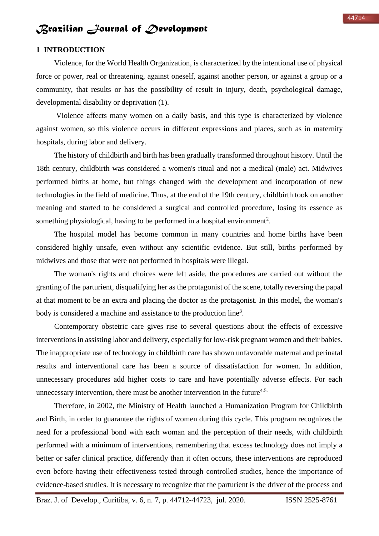#### **1 INTRODUCTION**

Violence, for the World Health Organization, is characterized by the intentional use of physical force or power, real or threatening, against oneself, against another person, or against a group or a community, that results or has the possibility of result in injury, death, psychological damage, developmental disability or deprivation (1).

Violence affects many women on a daily basis, and this type is characterized by violence against women, so this violence occurs in different expressions and places, such as in maternity hospitals, during labor and delivery.

The history of childbirth and birth has been gradually transformed throughout history. Until the 18th century, childbirth was considered a women's ritual and not a medical (male) act. Midwives performed births at home, but things changed with the development and incorporation of new technologies in the field of medicine. Thus, at the end of the 19th century, childbirth took on another meaning and started to be considered a surgical and controlled procedure, losing its essence as something physiological, having to be performed in a hospital environment<sup>2</sup>.

The hospital model has become common in many countries and home births have been considered highly unsafe, even without any scientific evidence. But still, births performed by midwives and those that were not performed in hospitals were illegal.

The woman's rights and choices were left aside, the procedures are carried out without the granting of the parturient, disqualifying her as the protagonist of the scene, totally reversing the papal at that moment to be an extra and placing the doctor as the protagonist. In this model, the woman's body is considered a machine and assistance to the production line<sup>3</sup>.

Contemporary obstetric care gives rise to several questions about the effects of excessive interventions in assisting labor and delivery, especially for low-risk pregnant women and their babies. The inappropriate use of technology in childbirth care has shown unfavorable maternal and perinatal results and interventional care has been a source of dissatisfaction for women. In addition, unnecessary procedures add higher costs to care and have potentially adverse effects. For each unnecessary intervention, there must be another intervention in the future<sup>4.5.</sup>

Therefore, in 2002, the Ministry of Health launched a Humanization Program for Childbirth and Birth, in order to guarantee the rights of women during this cycle. This program recognizes the need for a professional bond with each woman and the perception of their needs, with childbirth performed with a minimum of interventions, remembering that excess technology does not imply a better or safer clinical practice, differently than it often occurs, these interventions are reproduced even before having their effectiveness tested through controlled studies, hence the importance of evidence-based studies. It is necessary to recognize that the parturient is the driver of the process and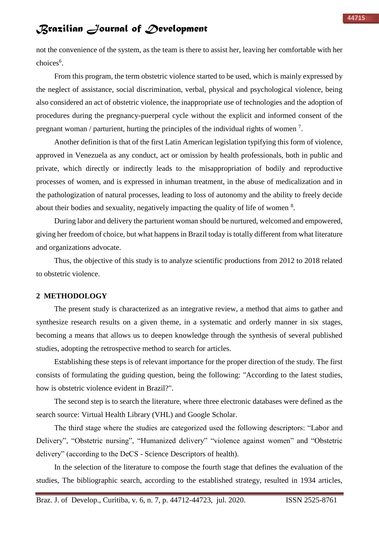not the convenience of the system, as the team is there to assist her, leaving her comfortable with her choices<sup>6</sup>.

From this program, the term obstetric violence started to be used, which is mainly expressed by the neglect of assistance, social discrimination, verbal, physical and psychological violence, being also considered an act of obstetric violence, the inappropriate use of technologies and the adoption of procedures during the pregnancy-puerperal cycle without the explicit and informed consent of the pregnant woman / parturient, hurting the principles of the individual rights of women<sup>7</sup>.

Another definition is that of the first Latin American legislation typifying this form of violence, approved in Venezuela as any conduct, act or omission by health professionals, both in public and private, which directly or indirectly leads to the misappropriation of bodily and reproductive processes of women, and is expressed in inhuman treatment, in the abuse of medicalization and in the pathologization of natural processes, leading to loss of autonomy and the ability to freely decide about their bodies and sexuality, negatively impacting the quality of life of women  $8$ .

During labor and delivery the parturient woman should be nurtured, welcomed and empowered, giving her freedom of choice, but what happens in Brazil today is totally different from what literature and organizations advocate.

Thus, the objective of this study is to analyze scientific productions from 2012 to 2018 related to obstetric violence.

### **2 METHODOLOGY**

The present study is characterized as an integrative review, a method that aims to gather and synthesize research results on a given theme, in a systematic and orderly manner in six stages, becoming a means that allows us to deepen knowledge through the synthesis of several published studies, adopting the retrospective method to search for articles.

Establishing these steps is of relevant importance for the proper direction of the study. The first consists of formulating the guiding question, being the following: "According to the latest studies, how is obstetric violence evident in Brazil?".

The second step is to search the literature, where three electronic databases were defined as the search source: Virtual Health Library (VHL) and Google Scholar.

The third stage where the studies are categorized used the following descriptors: "Labor and Delivery", "Obstetric nursing", "Humanized delivery" "violence against women" and "Obstetric delivery" (according to the DeCS - Science Descriptors of health).

In the selection of the literature to compose the fourth stage that defines the evaluation of the studies, The bibliographic search, according to the established strategy, resulted in 1934 articles,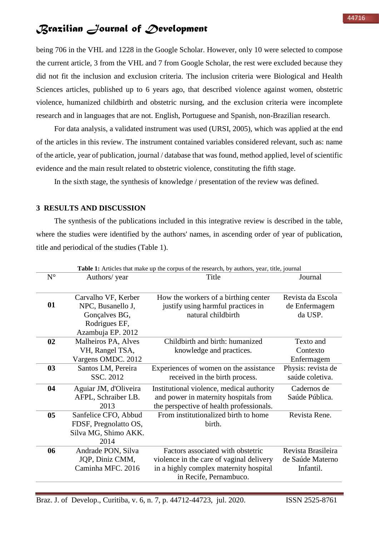being 706 in the VHL and 1228 in the Google Scholar. However, only 10 were selected to compose the current article, 3 from the VHL and 7 from Google Scholar, the rest were excluded because they did not fit the inclusion and exclusion criteria. The inclusion criteria were Biological and Health Sciences articles, published up to 6 years ago, that described violence against women, obstetric violence, humanized childbirth and obstetric nursing, and the exclusion criteria were incomplete research and in languages that are not. English, Portuguese and Spanish, non-Brazilian research.

For data analysis, a validated instrument was used (URSI, 2005), which was applied at the end of the articles in this review. The instrument contained variables considered relevant, such as: name of the article, year of publication, journal / database that was found, method applied, level of scientific evidence and the main result related to obstetric violence, constituting the fifth stage.

In the sixth stage, the synthesis of knowledge / presentation of the review was defined.

### **3 RESULTS AND DISCUSSION**

The synthesis of the publications included in this integrative review is described in the table, where the studies were identified by the authors' names, in ascending order of year of publication, title and periodical of the studies (Table 1).

|             |                                                                                                 | Table 1: Articles that make up the corpus of the research, by authors, year, title, journal                                                       |                                                     |
|-------------|-------------------------------------------------------------------------------------------------|---------------------------------------------------------------------------------------------------------------------------------------------------|-----------------------------------------------------|
| $N^{\circ}$ | Authors/ year                                                                                   | Title                                                                                                                                             | Journal                                             |
| 01          | Carvalho VF, Kerber<br>NPC, Busanello J,<br>Gonçalves BG,<br>Rodrigues EF,<br>Azambuja EP. 2012 | How the workers of a birthing center<br>justify using harmful practices in<br>natural childbirth                                                  | Revista da Escola<br>de Enfermagem<br>da USP.       |
| 02          | Malheiros PA, Alves<br>VH, Rangel TSA,<br>Vargens OMDC. 2012                                    | Childbirth and birth: humanized<br>knowledge and practices.                                                                                       | Texto and<br>Contexto<br>Enfermagem                 |
| 03          | Santos LM, Pereira<br>SSC. 2012                                                                 | Experiences of women on the assistance<br>received in the birth process.                                                                          | Physis: revista de<br>saúde coletiva.               |
| 04          | Aguiar JM, d'Oliveira<br>AFPL, Schraiber LB.<br>2013                                            | Institutional violence, medical authority<br>and power in maternity hospitals from<br>the perspective of health professionals.                    | Cadernos de<br>Saúde Pública.                       |
| 05          | Sanfelice CFO, Abbud<br>FDSF, Pregnolatto OS,<br>Silva MG, Shimo AKK.<br>2014                   | From institutionalized birth to home<br>birth.                                                                                                    | Revista Rene.                                       |
| 06          | Andrade PON, Silva<br>JQP, Diniz CMM,<br>Caminha MFC. 2016                                      | Factors associated with obstetric<br>violence in the care of vaginal delivery<br>in a highly complex maternity hospital<br>in Recife, Pernambuco. | Revista Brasileira<br>de Saúde Materno<br>Infantil. |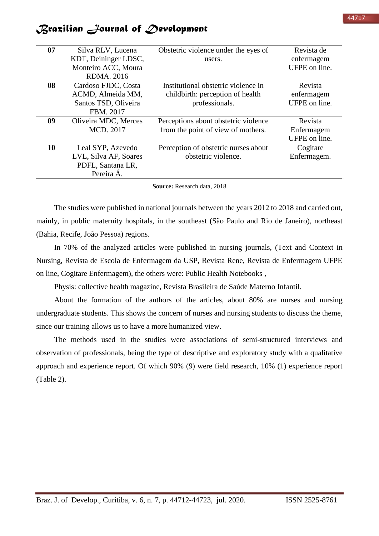|  |  |  | Brazilian Journal of Development |
|--|--|--|----------------------------------|
|--|--|--|----------------------------------|

| 07 | Silva RLV, Lucena     | Obstetric violence under the eyes of | Revista de    |
|----|-----------------------|--------------------------------------|---------------|
|    | KDT, Deininger LDSC,  | users.                               | enfermagem    |
|    | Monteiro ACC, Moura   |                                      | UFPE on line. |
|    | <b>RDMA. 2016</b>     |                                      |               |
| 08 | Cardoso FJDC, Costa   | Institutional obstetric violence in  | Revista       |
|    | ACMD, Almeida MM,     | childbirth: perception of health     | enfermagem    |
|    | Santos TSD, Oliveira  | professionals.                       | UFPE on line. |
|    | FBM. 2017             |                                      |               |
| 09 | Oliveira MDC, Merces  | Perceptions about obstetric violence | Revista       |
|    | MCD, 2017             | from the point of view of mothers.   | Enfermagem    |
|    |                       |                                      | UFPE on line. |
| 10 | Leal SYP, Azevedo     | Perception of obstetric nurses about | Cogitare      |
|    | LVL, Silva AF, Soares | obstetric violence.                  | Enfermagem.   |
|    | PDFL, Santana LR,     |                                      |               |
|    | Pereira Á.            |                                      |               |
|    |                       |                                      |               |

**Source:** Research data, 2018

The studies were published in national journals between the years 2012 to 2018 and carried out, mainly, in public maternity hospitals, in the southeast (São Paulo and Rio de Janeiro), northeast (Bahia, Recife, João Pessoa) regions.

In 70% of the analyzed articles were published in nursing journals, (Text and Context in Nursing, Revista de Escola de Enfermagem da USP, Revista Rene, Revista de Enfermagem UFPE on line, Cogitare Enfermagem), the others were: Public Health Notebooks ,

Physis: collective health magazine, Revista Brasileira de Saúde Materno Infantil.

About the formation of the authors of the articles, about 80% are nurses and nursing undergraduate students. This shows the concern of nurses and nursing students to discuss the theme, since our training allows us to have a more humanized view.

The methods used in the studies were associations of semi-structured interviews and observation of professionals, being the type of descriptive and exploratory study with a qualitative approach and experience report. Of which 90% (9) were field research, 10% (1) experience report (Table 2).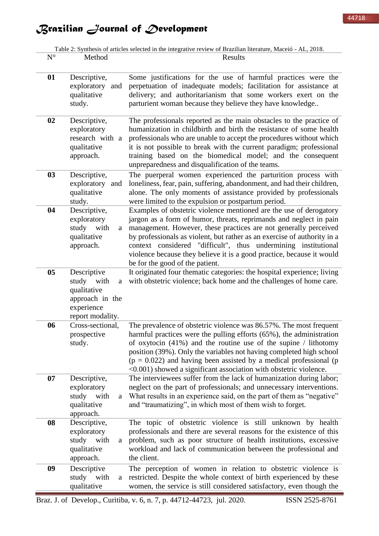Table 2: Synthesis of articles selected in the integrative review of Brazilian literature, Maceió - AL, 2018.

| $N^{\circ}$ | Method                                                                                             | Results                                                                                                                                                                                                                                                                                                                                                                                                                                                                |
|-------------|----------------------------------------------------------------------------------------------------|------------------------------------------------------------------------------------------------------------------------------------------------------------------------------------------------------------------------------------------------------------------------------------------------------------------------------------------------------------------------------------------------------------------------------------------------------------------------|
| 01          | Descriptive,<br>exploratory<br>and<br>qualitative<br>study.                                        | Some justifications for the use of harmful practices were the<br>perpetuation of inadequate models; facilitation for assistance at<br>delivery; and authoritarianism that some workers exert on the<br>parturient woman because they believe they have knowledge                                                                                                                                                                                                       |
| 02          | Descriptive,<br>exploratory<br>research with a<br>qualitative<br>approach.                         | The professionals reported as the main obstacles to the practice of<br>humanization in childbirth and birth the resistance of some health<br>professionals who are unable to accept the procedures without which<br>it is not possible to break with the current paradigm; professional<br>training based on the biomedical model; and the consequent<br>unpreparedness and disqualification of the teams.                                                             |
| 03          | Descriptive,<br>exploratory<br>and<br>qualitative<br>study.                                        | The puerperal women experienced the parturition process with<br>loneliness, fear, pain, suffering, abandonment, and had their children,<br>alone. The only moments of assistance provided by professionals<br>were limited to the expulsion or postpartum period.                                                                                                                                                                                                      |
| 04          | Descriptive,<br>exploratory<br>study with<br>a<br>qualitative<br>approach.                         | Examples of obstetric violence mentioned are the use of derogatory<br>jargon as a form of humor, threats, reprimands and neglect in pain<br>management. However, these practices are not generally perceived<br>by professionals as violent, but rather as an exercise of authority in a<br>context considered "difficult", thus undermining institutional<br>violence because they believe it is a good practice, because it would<br>be for the good of the patient. |
| 05          | Descriptive<br>study with<br>a<br>qualitative<br>approach in the<br>experience<br>report modality. | It originated four thematic categories: the hospital experience; living<br>with obstetric violence; back home and the challenges of home care.                                                                                                                                                                                                                                                                                                                         |
| 06          | Cross-sectional.<br>prospective<br>study.                                                          | The prevalence of obstetric violence was 86.57%. The most frequent<br>harmful practices were the pulling efforts (65%), the administration<br>of oxytocin $(41%)$ and the routine use of the supine / lithotomy<br>position (39%). Only the variables not having completed high school<br>$(p = 0.022)$ and having been assisted by a medical professional (p<br><0.001) showed a significant association with obstetric violence.                                     |
| 07          | Descriptive,<br>exploratory<br>study with<br>a<br>qualitative<br>approach.                         | The interviewees suffer from the lack of humanization during labor;<br>neglect on the part of professionals; and unnecessary interventions.<br>What results in an experience said, on the part of them as "negative"<br>and "traumatizing", in which most of them wish to forget.                                                                                                                                                                                      |
| 08          | Descriptive,<br>exploratory<br>study with<br>a<br>qualitative<br>approach.                         | The topic of obstetric violence is still unknown by health<br>professionals and there are several reasons for the existence of this<br>problem, such as poor structure of health institutions, excessive<br>workload and lack of communication between the professional and<br>the client.                                                                                                                                                                             |
| 09          | Descriptive<br>study<br>with<br>a<br>qualitative                                                   | The perception of women in relation to obstetric violence is<br>restricted. Despite the whole context of birth experienced by these<br>women, the service is still considered satisfactory, even though the                                                                                                                                                                                                                                                            |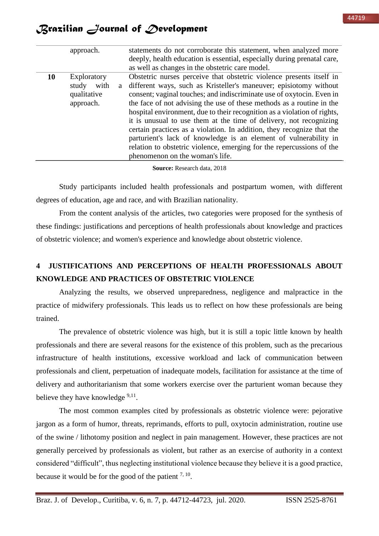|    | approach.                                                     | statements do not corroborate this statement, when analyzed more<br>deeply, health education is essential, especially during prenatal care,<br>as well as changes in the obstetric care model.                                                                                                                                                                                                                                                                                                                                                                                                                                                                                                          |
|----|---------------------------------------------------------------|---------------------------------------------------------------------------------------------------------------------------------------------------------------------------------------------------------------------------------------------------------------------------------------------------------------------------------------------------------------------------------------------------------------------------------------------------------------------------------------------------------------------------------------------------------------------------------------------------------------------------------------------------------------------------------------------------------|
| 10 | Exploratory<br>with<br>study<br>a<br>qualitative<br>approach. | Obstetric nurses perceive that obstetric violence presents itself in<br>different ways, such as Kristeller's maneuver; episiotomy without<br>consent; vaginal touches; and indiscriminate use of oxytocin. Even in<br>the face of not advising the use of these methods as a routine in the<br>hospital environment, due to their recognition as a violation of rights,<br>it is unusual to use them at the time of delivery, not recognizing<br>certain practices as a violation. In addition, they recognize that the<br>parturient's lack of knowledge is an element of vulnerability in<br>relation to obstetric violence, emerging for the repercussions of the<br>phenomenon on the woman's life. |

**Source:** Research data, 2018

Study participants included health professionals and postpartum women, with different degrees of education, age and race, and with Brazilian nationality.

From the content analysis of the articles, two categories were proposed for the synthesis of these findings: justifications and perceptions of health professionals about knowledge and practices of obstetric violence; and women's experience and knowledge about obstetric violence.

## **4 JUSTIFICATIONS AND PERCEPTIONS OF HEALTH PROFESSIONALS ABOUT KNOWLEDGE AND PRACTICES OF OBSTETRIC VIOLENCE**

Analyzing the results, we observed unpreparedness, negligence and malpractice in the practice of midwifery professionals. This leads us to reflect on how these professionals are being trained.

The prevalence of obstetric violence was high, but it is still a topic little known by health professionals and there are several reasons for the existence of this problem, such as the precarious infrastructure of health institutions, excessive workload and lack of communication between professionals and client, perpetuation of inadequate models, facilitation for assistance at the time of delivery and authoritarianism that some workers exercise over the parturient woman because they believe they have knowledge <sup>9,11</sup>.

The most common examples cited by professionals as obstetric violence were: pejorative jargon as a form of humor, threats, reprimands, efforts to pull, oxytocin administration, routine use of the swine / lithotomy position and neglect in pain management. However, these practices are not generally perceived by professionals as violent, but rather as an exercise of authority in a context considered "difficult", thus neglecting institutional violence because they believe it is a good practice, because it would be for the good of the patient  $7, 10$ .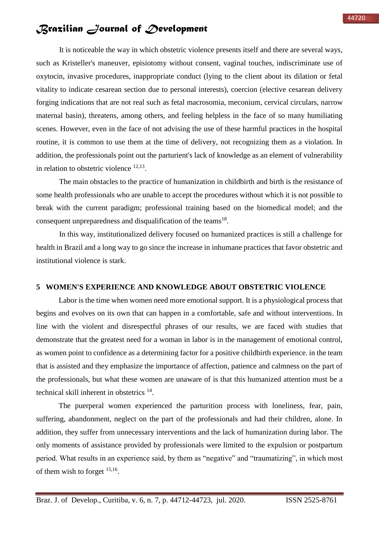It is noticeable the way in which obstetric violence presents itself and there are several ways, such as Kristeller's maneuver, episiotomy without consent, vaginal touches, indiscriminate use of oxytocin, invasive procedures, inappropriate conduct (lying to the client about its dilation or fetal vitality to indicate cesarean section due to personal interests), coercion (elective cesarean delivery forging indications that are not real such as fetal macrosomia, meconium, cervical circulars, narrow maternal basin), threatens, among others, and feeling helpless in the face of so many humiliating scenes. However, even in the face of not advising the use of these harmful practices in the hospital routine, it is common to use them at the time of delivery, not recognizing them as a violation. In addition, the professionals point out the parturient's lack of knowledge as an element of vulnerability in relation to obstetric violence  $12,13$ .

The main obstacles to the practice of humanization in childbirth and birth is the resistance of some health professionals who are unable to accept the procedures without which it is not possible to break with the current paradigm; professional training based on the biomedical model; and the consequent unpreparedness and disqualification of the teams<sup>18</sup>.

In this way, institutionalized delivery focused on humanized practices is still a challenge for health in Brazil and a long way to go since the increase in inhumane practices that favor obstetric and institutional violence is stark.

### **5 WOMEN'S EXPERIENCE AND KNOWLEDGE ABOUT OBSTETRIC VIOLENCE**

Labor is the time when women need more emotional support. It is a physiological process that begins and evolves on its own that can happen in a comfortable, safe and without interventions. In line with the violent and disrespectful phrases of our results, we are faced with studies that demonstrate that the greatest need for a woman in labor is in the management of emotional control, as women point to confidence as a determining factor for a positive childbirth experience. in the team that is assisted and they emphasize the importance of affection, patience and calmness on the part of the professionals, but what these women are unaware of is that this humanized attention must be a technical skill inherent in obstetrics <sup>14</sup>.

The puerperal women experienced the parturition process with loneliness, fear, pain, suffering, abandonment, neglect on the part of the professionals and had their children, alone. In addition, they suffer from unnecessary interventions and the lack of humanization during labor. The only moments of assistance provided by professionals were limited to the expulsion or postpartum period. What results in an experience said, by them as "negative" and "traumatizing", in which most of them wish to forget  $15,16$ .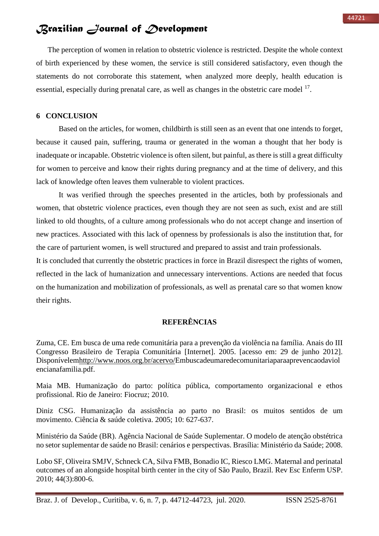The perception of women in relation to obstetric violence is restricted. Despite the whole context of birth experienced by these women, the service is still considered satisfactory, even though the statements do not corroborate this statement, when analyzed more deeply, health education is essential, especially during prenatal care, as well as changes in the obstetric care model <sup>17</sup>.

### **6 CONCLUSION**

Based on the articles, for women, childbirth is still seen as an event that one intends to forget, because it caused pain, suffering, trauma or generated in the woman a thought that her body is inadequate or incapable. Obstetric violence is often silent, but painful, as there is still a great difficulty for women to perceive and know their rights during pregnancy and at the time of delivery, and this lack of knowledge often leaves them vulnerable to violent practices.

It was verified through the speeches presented in the articles, both by professionals and women, that obstetric violence practices, even though they are not seen as such, exist and are still linked to old thoughts, of a culture among professionals who do not accept change and insertion of new practices. Associated with this lack of openness by professionals is also the institution that, for the care of parturient women, is well structured and prepared to assist and train professionals.

It is concluded that currently the obstetric practices in force in Brazil disrespect the rights of women, reflected in the lack of humanization and unnecessary interventions. Actions are needed that focus on the humanization and mobilization of professionals, as well as prenatal care so that women know their rights.

### **REFERÊNCIAS**

Zuma, CE. Em busca de uma rede comunitária para a prevenção da violência na família. Anais do III Congresso Brasileiro de Terapia Comunitária [Internet]. 2005. [acesso em: 29 de junho 2012]. Disponívele[mhttp://www.noos.org.br/acervo/E](http://www.noos.org.br/acervo/)mbuscadeumaredecomunitariaparaaprevencaodaviol encianafamilia.pdf.

Maia MB. Humanização do parto: política pública, comportamento organizacional e ethos profissional. Rio de Janeiro: Fiocruz; 2010.

Diniz CSG. Humanização da assistência ao parto no Brasil: os muitos sentidos de um movimento. Ciência & saúde coletiva. 2005; 10: 627-637.

Ministério da Saúde (BR). Agência Nacional de Saúde Suplementar. O modelo de atenção obstétrica no setor suplementar de saúde no Brasil: cenários e perspectivas. Brasília: Ministério da Saúde; 2008.

Lobo SF, Oliveira SMJV, Schneck CA, Silva FMB, Bonadio IC, Riesco LMG. Maternal and perinatal outcomes of an alongside hospital birth center in the city of São Paulo, Brazil. Rev Esc Enferm USP. 2010; 44(3):800-6.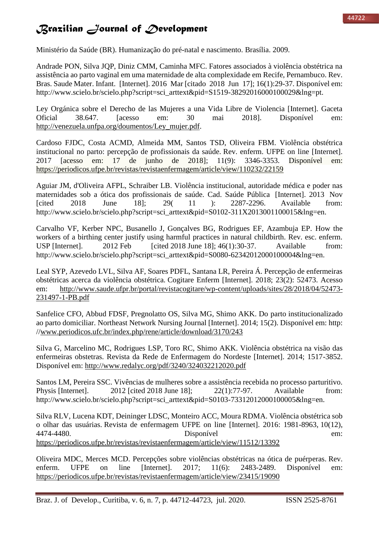Ministério da Saúde (BR). Humanização do pré-natal e nascimento. Brasília. 2009.

Andrade PON, Silva JQP, Diniz CMM, Caminha MFC. Fatores associados à violência obstétrica na assistência ao parto vaginal em uma maternidade de alta complexidade em Recife, Pernambuco. Rev. Bras. Saude Mater. Infant. [Internet]. 2016 Mar [citado 2018 Jun 17]; 16(1):29-37. Disponível em: http://www.scielo.br/scielo.php?script=sci\_arttext&pid=S1519-38292016000100029&lng=pt.

Ley Orgánica sobre el Derecho de las Mujeres a una Vida Libre de Violencia [Internet]. Gaceta Oficial 38.647. [acesso em: 30 mai 2018]. Disponível em: [http://venezuela.unfpa.org/doumentos/Ley\\_mujer.pdf.](http://venezuela.unfpa.org/doumentos/Ley_mujer.pdf)

Cardoso FJDC, Costa ACMD, Almeida MM, Santos TSD, Oliveira FBM. Violência obstétrica institucional no parto: percepção de profissionais da saúde. Rev. enferm. UFPE on line [Internet]. 2017 [acesso em: 17 de junho de 2018]; 11(9): 3346-3353. Disponível em: <https://periodicos.ufpe.br/revistas/revistaenfermagem/article/view/110232/22159>

Aguiar JM, d'Oliveira AFPL, Schraiber LB. Violência institucional, autoridade médica e poder nas maternidades sob a ótica dos profissionais de saúde. Cad. Saúde Pública [Internet]. 2013 Nov [cited 2018 June 18]; 29( 11 ): 2287-2296. Available from: http://www.scielo.br/scielo.php?script=sci\_arttext&pid=S0102-311X2013001100015&lng=en.

Carvalho VF, Kerber NPC, Busanello J, Gonçalves BG, Rodrigues EF, Azambuja EP. How the workers of a birthing center justify using harmful practices in natural childbirth. Rev. esc. enferm. USP [Internet]. 2012 Feb [cited 2018 June 18]; 46(1):30-37. Available from: http://www.scielo.br/scielo.php?script=sci\_arttext&pid=S0080-62342012000100004&lng=en.

Leal SYP, Azevedo LVL, Silva AF, Soares PDFL, Santana LR, Pereira Á. Percepção de enfermeiras obstétricas acerca da violência obstétrica. Cogitare Enferm [Internet]. 2018; 23(2): 52473. Acesso em: [http://www.saude.ufpr.br/portal/revistacogitare/wp-content/uploads/sites/28/2018/04/52473-](http://www.saude.ufpr.br/portal/revistacogitare/wp-content/uploads/sites/28/2018/04/52473-231497-1-PB.pdf) [231497-1-PB.pdf](http://www.saude.ufpr.br/portal/revistacogitare/wp-content/uploads/sites/28/2018/04/52473-231497-1-PB.pdf)

Sanfelice CFO, Abbud FDSF, Pregnolatto OS, Silva MG, Shimo AKK. Do parto institucionalizado ao parto domiciliar. Northeast Network Nursing Journal [Internet]. 2014; 15(2). Disponível em: http: /[/www.periodicos.ufc.br/index.php/rene/article/download/3170/243](http://www.periodicos.ufc.br/index.php/rene/article/download/3170/243)

Silva G, Marcelino MC, Rodrigues LSP, Toro RC, Shimo AKK. Violência obstétrica na visão das enfermeiras obstetras. Revista da Rede de Enfermagem do Nordeste [Internet]. 2014; 1517-3852. Disponível em:<http://www.redalyc.org/pdf/3240/324032212020.pdf>

Santos LM, Pereira SSC. Vivências de mulheres sobre a assistência recebida no processo parturitivo. Physis [Internet]. 2012 [cited 2018 June 18]; 22(1):77-97. Available from: http://www.scielo.br/scielo.php?script=sci\_arttext&pid=S0103-73312012000100005&lng=en.

Silva RLV, Lucena KDT, Deininger LDSC, Monteiro ACC, Moura RDMA. Violência obstétrica sob o olhar das usuárias. Revista de enfermagem UFPE on line [Internet]. 2016: 1981-8963, 10(12), 4474-4480. Disponível em: <https://periodicos.ufpe.br/revistas/revistaenfermagem/article/view/11512/13392>

Oliveira MDC, Merces MCD. Percepções sobre violências obstétricas na ótica de puérperas. Rev. enferm. UFPE on line [Internet]. 2017; 11(6): 2483-2489. Disponível em: <https://periodicos.ufpe.br/revistas/revistaenfermagem/article/view/23415/19090>